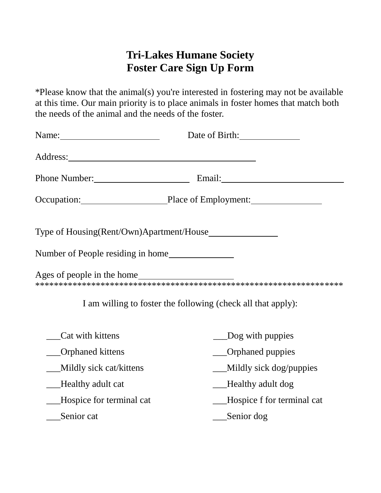## **Tri-Lakes Humane Society Foster Care Sign Up Form**

\*Please know that the animal(s) you're interested in fostering may not be available at this time. Our main priority is to place animals in foster homes that match both the needs of the animal and the needs of the foster.

|                                                                                                                                                                                                                                     | Date of Birth:                                               |
|-------------------------------------------------------------------------------------------------------------------------------------------------------------------------------------------------------------------------------------|--------------------------------------------------------------|
| Address: <u>Address</u> and the contract of the contract of the contract of the contract of the contract of the contract of the contract of the contract of the contract of the contract of the contract of the contract of the con |                                                              |
|                                                                                                                                                                                                                                     | Phone Number: Email: Email:                                  |
|                                                                                                                                                                                                                                     | Occupation: Place of Employment:                             |
|                                                                                                                                                                                                                                     |                                                              |
| Number of People residing in home                                                                                                                                                                                                   |                                                              |
| Ages of people in the home                                                                                                                                                                                                          |                                                              |
|                                                                                                                                                                                                                                     | I am willing to foster the following (check all that apply): |
| Cat with kittens                                                                                                                                                                                                                    | ___Dog with puppies                                          |
| __Orphaned kittens                                                                                                                                                                                                                  | ___Orphaned puppies                                          |
| Mildly sick cat/kittens                                                                                                                                                                                                             | __Mildly sick dog/puppies                                    |
| __Healthy adult cat                                                                                                                                                                                                                 | __Healthy adult dog                                          |
| __Hospice for terminal cat                                                                                                                                                                                                          | __Hospice f for terminal cat                                 |
| Senior cat                                                                                                                                                                                                                          | $\equiv$ Senior dog                                          |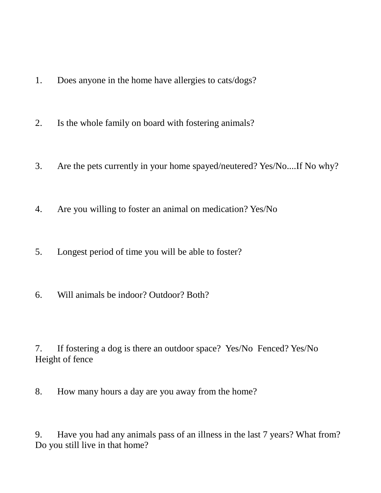- 1. Does anyone in the home have allergies to cats/dogs?
- 2. Is the whole family on board with fostering animals?
- 3. Are the pets currently in your home spayed/neutered? Yes/No....If No why?
- 4. Are you willing to foster an animal on medication? Yes/No
- 5. Longest period of time you will be able to foster?
- 6. Will animals be indoor? Outdoor? Both?

7. If fostering a dog is there an outdoor space? Yes/No Fenced? Yes/No Height of fence

8. How many hours a day are you away from the home?

9. Have you had any animals pass of an illness in the last 7 years? What from? Do you still live in that home?